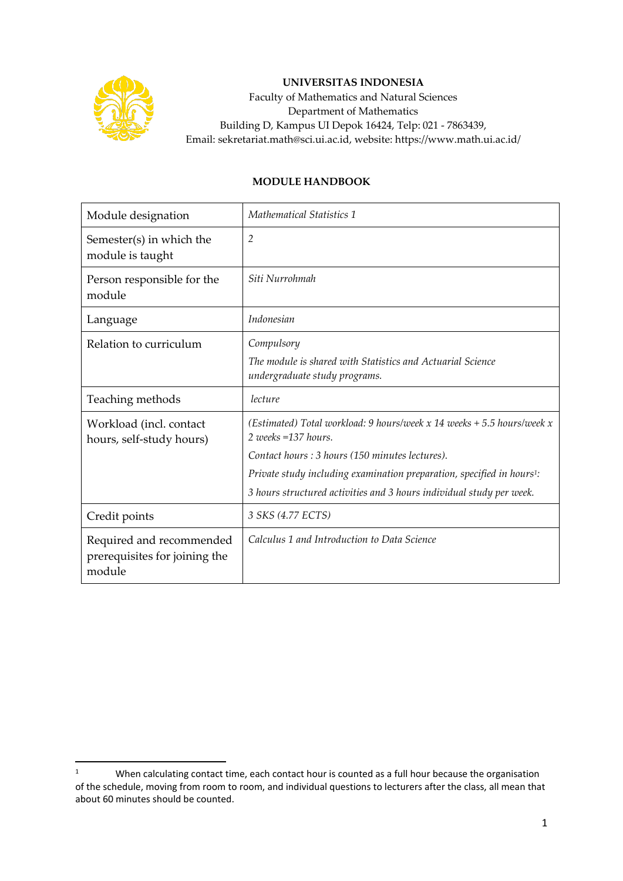

## **UNIVERSITAS INDONESIA**

Faculty of Mathematics and Natural Sciences Department of Mathematics Building D, Kampus UI Depok 16424, Telp: 021 - 7863439, Email: sekretariat.math@sci.ui.ac.id, website: https://www.math.ui.ac.id/

## **MODULE HANDBOOK**

| Module designation                                                  | <b>Mathematical Statistics 1</b>                                                                                                                           |
|---------------------------------------------------------------------|------------------------------------------------------------------------------------------------------------------------------------------------------------|
| Semester(s) in which the<br>module is taught                        | $\overline{2}$                                                                                                                                             |
| Person responsible for the<br>module                                | Siti Nurrohmah                                                                                                                                             |
| Language                                                            | Indonesian                                                                                                                                                 |
| Relation to curriculum                                              | Compulsory<br>The module is shared with Statistics and Actuarial Science<br>undergraduate study programs.                                                  |
| Teaching methods                                                    | lecture                                                                                                                                                    |
| Workload (incl. contact<br>hours, self-study hours)                 | (Estimated) Total workload: 9 hours/week x 14 weeks $+ 5.5$ hours/week x<br>2 weeks =137 hours.                                                            |
|                                                                     | Contact hours : 3 hours (150 minutes lectures).                                                                                                            |
|                                                                     | Private study including examination preparation, specified in hours <sup>1</sup> :<br>3 hours structured activities and 3 hours individual study per week. |
| Credit points                                                       | 3 SKS (4.77 ECTS)                                                                                                                                          |
| Required and recommended<br>prerequisites for joining the<br>module | Calculus 1 and Introduction to Data Science                                                                                                                |

<sup>&</sup>lt;sup>1</sup> When calculating contact time, each contact hour is counted as a full hour because the organisation of the schedule, moving from room to room, and individual questions to lecturers after the class, all mean that about 60 minutes should be counted.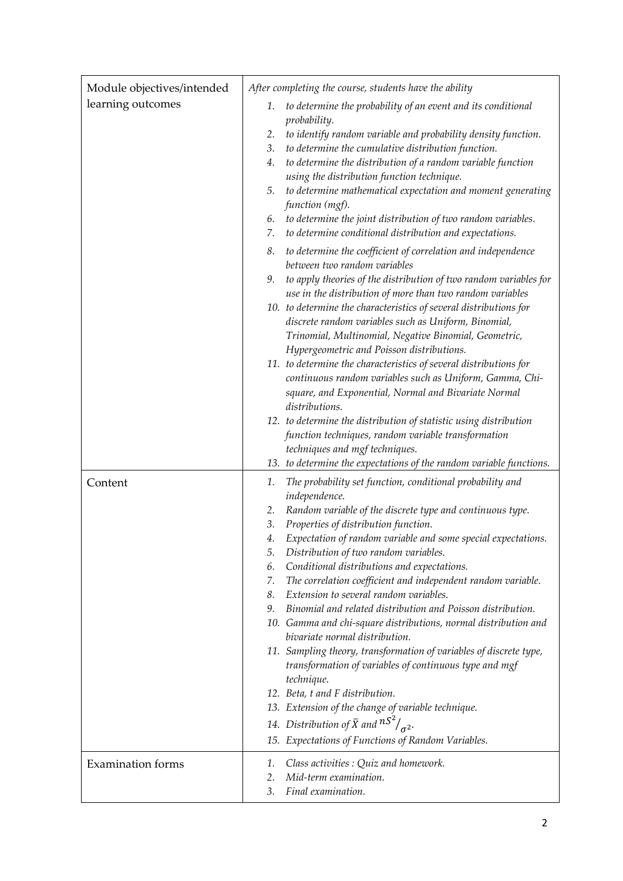| Module objectives/intended | After completing the course, students have the ability                                                                                                                                                                                                                                                                                                                                                                                                                                                                                                                                                                                                                                                                                                                                                                                                                                                                                                                        |
|----------------------------|-------------------------------------------------------------------------------------------------------------------------------------------------------------------------------------------------------------------------------------------------------------------------------------------------------------------------------------------------------------------------------------------------------------------------------------------------------------------------------------------------------------------------------------------------------------------------------------------------------------------------------------------------------------------------------------------------------------------------------------------------------------------------------------------------------------------------------------------------------------------------------------------------------------------------------------------------------------------------------|
| learning outcomes          | to determine the probability of an event and its conditional<br>1.<br>probability.<br>to identify random variable and probability density function.<br>2.<br>to determine the cumulative distribution function.<br>3.<br>to determine the distribution of a random variable function<br>4.<br>using the distribution function technique.<br>to determine mathematical expectation and moment generating<br>5.<br>function (mgf).<br>to determine the joint distribution of two random variables.<br>6.<br>to determine conditional distribution and expectations.<br>7.                                                                                                                                                                                                                                                                                                                                                                                                       |
|                            | to determine the coefficient of correlation and independence<br>8.<br>between two random variables                                                                                                                                                                                                                                                                                                                                                                                                                                                                                                                                                                                                                                                                                                                                                                                                                                                                            |
|                            | to apply theories of the distribution of two random variables for<br>9.<br>use in the distribution of more than two random variables<br>10. to determine the characteristics of several distributions for<br>discrete random variables such as Uniform, Binomial,<br>Trinomial, Multinomial, Negative Binomial, Geometric,<br>Hypergeometric and Poisson distributions.                                                                                                                                                                                                                                                                                                                                                                                                                                                                                                                                                                                                       |
|                            | 11. to determine the characteristics of several distributions for<br>continuous random variables such as Uniform, Gamma, Chi-<br>square, and Exponential, Normal and Bivariate Normal<br>distributions.                                                                                                                                                                                                                                                                                                                                                                                                                                                                                                                                                                                                                                                                                                                                                                       |
|                            | 12. to determine the distribution of statistic using distribution<br>function techniques, random variable transformation<br>techniques and mgf techniques.<br>13. to determine the expectations of the random variable functions.                                                                                                                                                                                                                                                                                                                                                                                                                                                                                                                                                                                                                                                                                                                                             |
| Content                    | The probability set function, conditional probability and<br>1.<br>independence.<br>Random variable of the discrete type and continuous type.<br>2.<br>Properties of distribution function.<br>3.<br>Expectation of random variable and some special expectations.<br>4.<br>Distribution of two random variables.<br>5.<br>Conditional distributions and expectations.<br>6.<br>The correlation coefficient and independent random variable.<br>7.<br>Extension to several random variables.<br>8.<br>Binomial and related distribution and Poisson distribution.<br>9.<br>10. Gamma and chi-square distributions, normal distribution and<br>bivariate normal distribution.<br>11. Sampling theory, transformation of variables of discrete type,<br>transformation of variables of continuous type and mgf<br>technique.<br>12. Beta, t and F distribution.<br>13. Extension of the change of variable technique.<br>14. Distribution of $\bar{X}$ and $nS^2/_{\sigma^2}$ . |
|                            | 15. Expectations of Functions of Random Variables.                                                                                                                                                                                                                                                                                                                                                                                                                                                                                                                                                                                                                                                                                                                                                                                                                                                                                                                            |
| <b>Examination</b> forms   | Class activities : Quiz and homework.<br>1.<br>Mid-term examination.<br>2.<br>Final examination.<br>3.                                                                                                                                                                                                                                                                                                                                                                                                                                                                                                                                                                                                                                                                                                                                                                                                                                                                        |